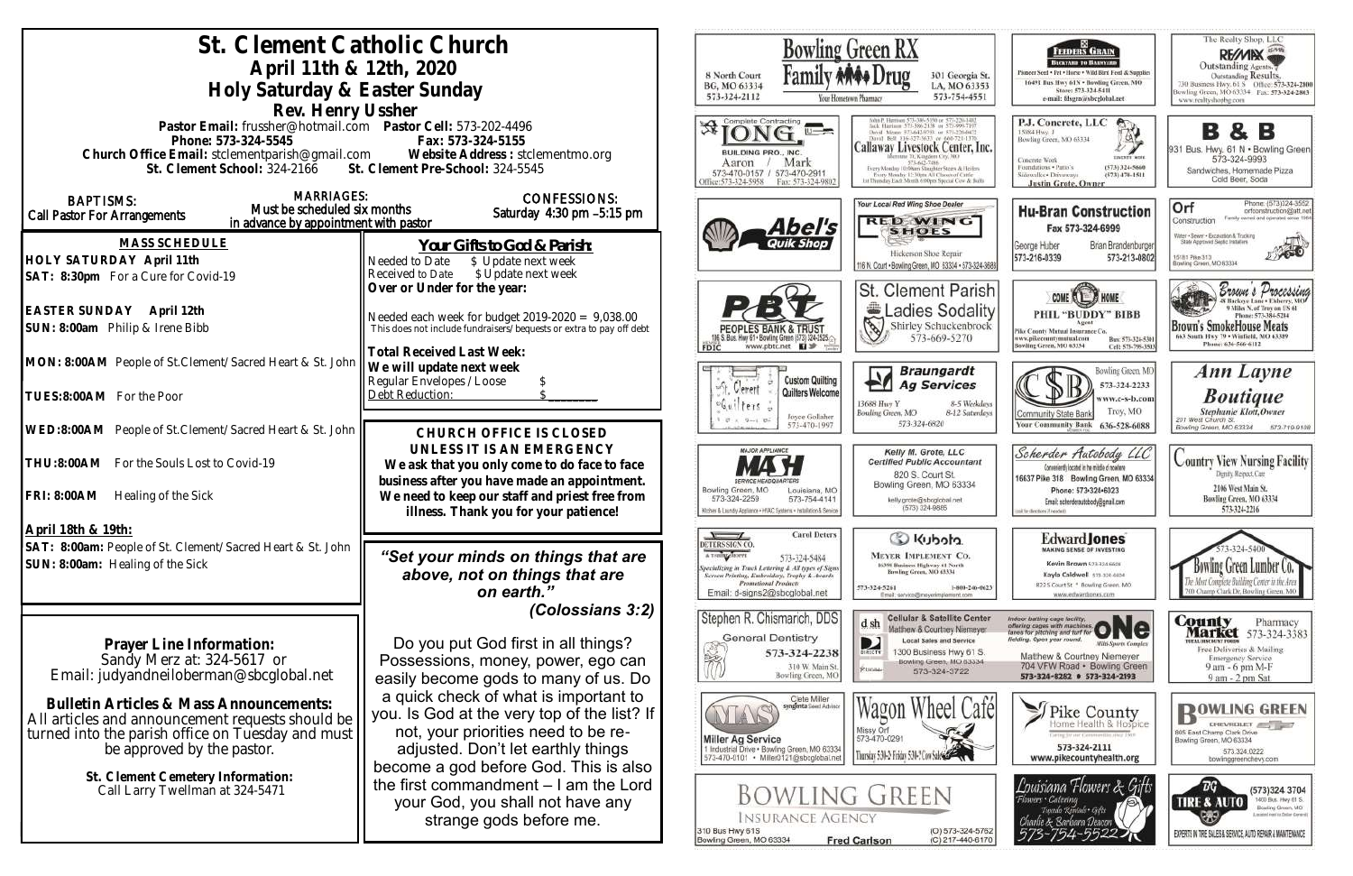| St. Clement Catholic Church                                                                                                                       |                                                                                                |                                                                                                     | <b>Bowling Green RX</b>                                                                         |
|---------------------------------------------------------------------------------------------------------------------------------------------------|------------------------------------------------------------------------------------------------|-----------------------------------------------------------------------------------------------------|-------------------------------------------------------------------------------------------------|
| April 11th & 12th, 2020                                                                                                                           |                                                                                                |                                                                                                     |                                                                                                 |
| Holy Saturday & Easter Sunday                                                                                                                     | 8 North Court<br>BG, MO 63334                                                                  | 301 Georgia St.<br>LA, MO 63353                                                                     |                                                                                                 |
| Rev. Henry Ussher                                                                                                                                 | 573-324-2112                                                                                   | 573-754-4551<br>four Hometown Pharmacy                                                              |                                                                                                 |
| Pastor Email: frussher@hotmail.com    Pastor Cell: 573-202-4496                                                                                   |                                                                                                | Complete Contracting                                                                                |                                                                                                 |
| Phone: 573-324-5545                                                                                                                               |                                                                                                | Callaway Livestock Center, Inc                                                                      |                                                                                                 |
| Church Office Email: stclementparish@gmail.com Website Address : stclementmo.org<br>St. Clement School: 324-2166 St. Clement Pre-School: 324-5545 |                                                                                                | BUILDING PRO., INC.<br>Mark<br>Aaron                                                                | Every Monday 10:00am Stagpher Steers & Heiler                                                   |
|                                                                                                                                                   |                                                                                                | 573-470-0157 / 573-470-2911<br>Office:573-324-5958<br>Fax: 573-324-9802                             | Every Monday 12:30pm All Classes of Cattle<br>1st Thursday Each Month 6:00pm Special Cow & Bull |
| <b>MARRIAGES:</b><br><b>BAPTISMS:</b><br>Must be scheduled six months                                                                             | <b>CONFESSIONS:</b>                                                                            |                                                                                                     | Your Local Red Wing Shoe Dealer                                                                 |
| Call Pastor For Arrangements<br>in advance by appointment with pastor                                                                             | Saturday 4:30 pm -5:15 pm                                                                      | 4 <i>bel's</i>                                                                                      | <b>RED WING</b>                                                                                 |
| <b>MASS SCHEDULE</b>                                                                                                                              | Your Gifts to God & Parish:                                                                    |                                                                                                     | <b>SHOES</b>                                                                                    |
| HOLY SATURDAY April 11th                                                                                                                          | Needed to Date<br>\$ Update next week                                                          |                                                                                                     | Hickerson Shoe Repair<br>116 N. Court . Bowling Green, MO 63334 . 573-324-36                    |
| SAT: 8:30pm For a Cure for Covid-19                                                                                                               | \$ Update next week<br>Received to Date                                                        |                                                                                                     |                                                                                                 |
|                                                                                                                                                   | Over or Under for the year:                                                                    |                                                                                                     | <b>St. Clement Parisl</b>                                                                       |
| EASTER SUNDAY April 12th                                                                                                                          | Needed each week for budget $2019-2020 = 9,038.00$                                             |                                                                                                     | Ladies Sodalit                                                                                  |
| SUN: 8:00am Philip & Irene Bibb                                                                                                                   | This does not include fundraisers/bequests or extra to pay off debt                            | 106 S. Bus. Hwy 61 . Bowling Green (573) 324-2525.                                                  | Shirley Schuckenbrock<br>573-669-5270                                                           |
| MON: 8:00AM People of St. Clement/Sacred Heart & St. John                                                                                         | <b>Total Received Last Week:</b>                                                               | www.pbtc.net <b>El</b><br>FDIC                                                                      |                                                                                                 |
|                                                                                                                                                   | We will update next week<br>Regular Envelopes / Loose                                          | <b>Custom Quilting</b>                                                                              | <b>Braungardt</b>                                                                               |
| TUES:8:00AM For the Poor                                                                                                                          | Debt Reduction:                                                                                | $u^0 +$<br>Verent<br>Quilters Welcome                                                               | <b>Ag Services</b>                                                                              |
|                                                                                                                                                   |                                                                                                | $-611$<br>$f$ ers<br>Joyce Gollaher                                                                 | 13688 Hwy Y<br>8-5 Weekday<br>Bowling Green, MO<br>8-12 Saturday                                |
| WED:8:00AM People of St.Clement/Sacred Heart & St. John                                                                                           | CHURCH OFFICE IS CLOSED                                                                        | 573-470-1997                                                                                        | 573-324-6820                                                                                    |
|                                                                                                                                                   | UNLESS IT IS AN EMERGENCY                                                                      | <b>MAJOR APPLIANCE</b>                                                                              | Kelly M. Grote, LLC                                                                             |
| THU:8:00AM For the Souls Lost to Covid-19                                                                                                         | We ask that you only come to do face to face                                                   |                                                                                                     | <b>Certified Public Accountant</b><br>820 S. Court St.                                          |
| <b>FRI: 8:00AM</b><br>Healing of the Sick                                                                                                         | business after you have made an appointment.<br>We need to keep our staff and priest free from | Bowling Green, MO<br>Louisiana, MO<br>573-324-2259<br>573-754-4141                                  | Bowling Green, MO 63334                                                                         |
|                                                                                                                                                   | illness. Thank you for your patience!                                                          | Kitchen & Laundry Appliance - HVAC Systems - Installation & Service                                 | kelly.grote@sbcglobal.net<br>(573) 324-9885                                                     |
| April 18th & 19th:                                                                                                                                |                                                                                                | <b>Carol Deters</b>                                                                                 |                                                                                                 |
| SAT: 8:00am: People of St. Clement/Sacred Heart & St. John                                                                                        | "Set your minds on things that are                                                             | DETERS SIGN CO.<br>A T-SHIRT SHOPPE<br>573-324-5484                                                 | C Kubota<br><b>MEYER IMPLEMENT CO.</b>                                                          |
| SUN: 8:00am: Healing of the Sick                                                                                                                  | above, not on things that are                                                                  | pecializing in Truck Lettering & All types of Signs<br>Screen Printing, Embroidery, Trophy & Awards | 16398 Business Highway 61 North<br>Bowling Green, MO 63334                                      |
|                                                                                                                                                   | on earth."                                                                                     | <b>Promotional Products</b><br>Email: d-signs2@sbcglobal.net                                        | 573-324-5261<br>1-800-246-662<br>Email: service@meyerimplement.com                              |
|                                                                                                                                                   | (Colossians 3:2)                                                                               |                                                                                                     | <b>Cellular &amp; Satellite Center</b>                                                          |
|                                                                                                                                                   |                                                                                                | Stephen R. Chismarich, DDS<br>General Dentistry                                                     | d sh<br>Matthew & Courtney Niemeyer                                                             |
| Prayer Line Information:                                                                                                                          | Do you put God first in all things?                                                            | 573-324-2238                                                                                        | <b>Local Sales and Service</b><br>D<br>1300 Business Hwy 61 S.<br><b>BIRECTY</b>                |
| Sandy Merz at: 324-5617 or<br>Email: judyandneiloberman@sbcglobal.net                                                                             | Possessions, money, power, ego can                                                             | 310 W. Main St.<br>Bowling Green, MO                                                                | Bowling Green, MO 63334<br><b>PUIOBE</b><br>573-324-3722                                        |
|                                                                                                                                                   | easily become gods to many of us. Do                                                           |                                                                                                     |                                                                                                 |
| Bulletin Articles & Mass Announcements:                                                                                                           | a quick check of what is important to<br>you. Is God at the very top of the list? If           | Clete Miller<br><b>Syngenta Seed Adviso</b>                                                         | heel Caf                                                                                        |
| All articles and announcement requests should be<br>turned into the parish office on Tuesday and must                                             | not, your priorities need to be re-                                                            |                                                                                                     | Missy Orf                                                                                       |
| be approved by the pastor.                                                                                                                        | adjusted. Don't let earthly things                                                             | <b>Miller Ag Service</b><br>1 Industrial Drive . Bowling Green, MO 63334                            | 573-470-0291<br>Thursday 5:30-2 Friday 5:30-2 Cow Sales                                         |
|                                                                                                                                                   | become a god before God. This is also                                                          | 573-470-0101 · Miller0121@sbcglobal.net                                                             |                                                                                                 |
| St. Clement Cemetery Information:<br>Call Larry Twellman at 324-5471                                                                              | the first commandment $-1$ am the Lord                                                         |                                                                                                     | Bowling Green                                                                                   |
|                                                                                                                                                   | your God, you shall not have any                                                               |                                                                                                     |                                                                                                 |
|                                                                                                                                                   | strange gods before me.                                                                        | <b>INSURANCE AGENCY</b><br>310 Bus Hwy 61S                                                          | (O) 573-324-576                                                                                 |
|                                                                                                                                                   |                                                                                                | Bowling Green, MO 63334                                                                             | <b>Fred Carlson</b><br>(C) 217-440-617                                                          |